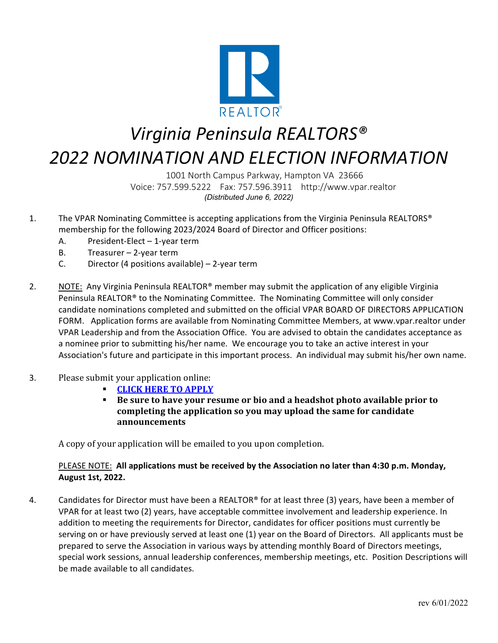

## *Virginia Peninsula REALTORS® 2022 NOMINATION AND ELECTION INFORMATION*

1001 North Campus Parkway, Hampton VA 23666 Voice: 757.599.5222 Fax: 757.596.3911 http://www.vpar.realtor *(Distributed June 6, 2022)*

- 1. The VPAR Nominating Committee is accepting applications from the Virginia Peninsula REALTORS® membership for the following 2023/2024 Board of Director and Officer positions:
	- A. President-Elect 1-year term
	- B. Treasurer 2-year term
	- C. Director (4 positions available) 2-year term
- 2. NOTE: Any Virginia Peninsula REALTOR® member may submit the application of any eligible Virginia Peninsula REALTOR® to the Nominating Committee. The Nominating Committee will only consider candidate nominations completed and submitted on the official VPAR BOARD OF DIRECTORS APPLICATION FORM. Application forms are available from Nominating Committee Members, at www.vpar.realtor under VPAR Leadership and from the Association Office. You are advised to obtain the candidates acceptance as a nominee prior to submitting his/her name. We encourage you to take an active interest in your Association's future and participate in this important process. An individual may submit his/her own name.
- 3. Please submit your application online:
	- **[CLICK HERE TO APPLY](https://docs.google.com/forms/d/1-sAxGZHPPZ6rMW9Nx4FIiPB8ERcXJRYbrV0UE8doNCw/edit)**
	- **Be sure to have your resume or bio and a headshot photo available prior to completing the application so you may upload the same for candidate announcements**

A copy of your application will be emailed to you upon completion.

## PLEASE NOTE: **All applications must be received by the Association no later than 4:30 p.m. Monday, August 1st, 2022.**

4. Candidates for Director must have been a REALTOR® for at least three (3) years, have been a member of VPAR for at least two (2) years, have acceptable committee involvement and leadership experience. In addition to meeting the requirements for Director, candidates for officer positions must currently be serving on or have previously served at least one (1) year on the Board of Directors. All applicants must be prepared to serve the Association in various ways by attending monthly Board of Directors meetings, special work sessions, annual leadership conferences, membership meetings, etc. Position Descriptions will be made available to all candidates.